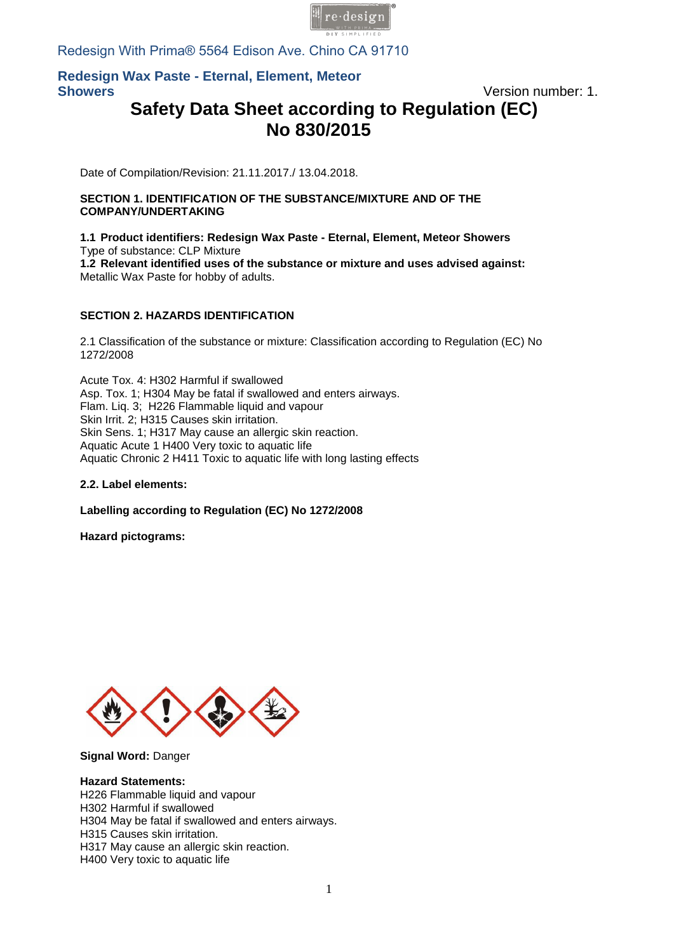

Redesign With Prima® 5564 Edison Ave. Chino CA 91710

## **Redesign Wax Paste - Eternal, Element, Meteor Showers** Version number: 1.

# **Safety Data Sheet according to Regulation (EC) No 830/2015**

Date of Compilation/Revision: 21.11.2017./ 13.04.2018.

### **SECTION 1. IDENTIFICATION OF THE SUBSTANCE/MIXTURE AND OF THE COMPANY/UNDERTAKING**

### **1.1 Product identifiers: Redesign Wax Paste - Eternal, Element, Meteor Showers**  Type of substance: CLP Mixture

**1.2 Relevant identified uses of the substance or mixture and uses advised against:**  Metallic Wax Paste for hobby of adults.

## **SECTION 2. HAZARDS IDENTIFICATION**

2.1 Classification of the substance or mixture: Classification according to Regulation (EC) No 1272/[2008](mailto:info@pentacolor.hu) 

Acute Tox. 4: H302 Harmful if swallowed Asp. Tox. 1; H304 May be fatal if swallowed and enters airways. Flam. Liq. 3; H226 Flammable liquid and vapour Skin Irrit. 2; H315 Causes skin irritation. Skin Sens. 1; H317 May cause an allergic skin reaction. Aquatic Acute 1 H400 Very toxic to aquatic life Aquatic Chronic 2 H411 Toxic to aquatic life with long lasting effects

### **2.2. Label elements:**

### **Labelling according to Regulation (EC) No 1272/2008**

**Hazard pictograms:** 



**Signal Word:** Danger

### **Hazard Statements:**

H226 Flammable liquid and vapour H302 Harmful if swallowed H304 May be fatal if swallowed and enters airways. H315 Causes skin irritation. H317 May cause an allergic skin reaction. H400 Very toxic to aquatic life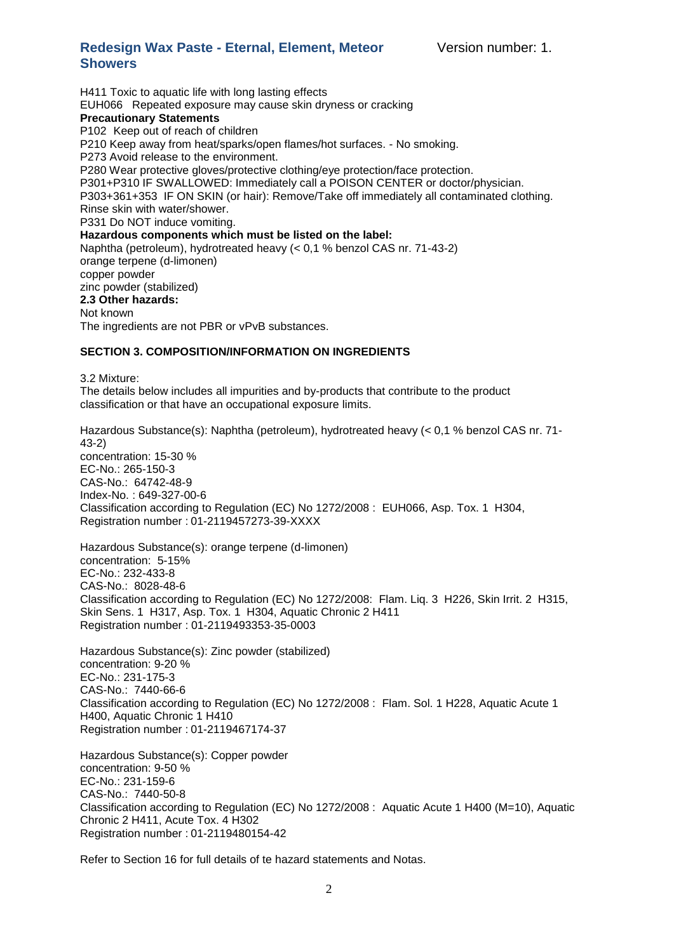H411 Toxic to aquatic life with long lasting effects EUH066 Repeated exposure may cause skin dryness or cracking **Precautionary Statements** P102 Keep out of reach of children P210 Keep away from heat/sparks/open flames/hot surfaces. - No smoking. P273 Avoid release to the environment. P280 Wear protective gloves/protective clothing/eye protection/face protection. P301+P310 IF SWALLOWED: Immediately call a POISON CENTER or doctor/physician. P303+361+353 IF ON SKIN (or hair): Remove/Take off immediately all contaminated clothing. Rinse skin with water/shower. P331 Do NOT induce vomiting. **Hazardous components which must be listed on the label:**  Naphtha (petroleum), hydrotreated heavy (< 0,1 % benzol CAS nr. 71-43-2) orange terpene (d-limonen) copper powder zinc powder (stabilized) **2.3 Other hazards:** Not known The ingredients are not PBR or vPvB substances.

### **SECTION 3. COMPOSITION/INFORMATION ON INGREDIENTS**

3.2 Mixture:

The details below includes all impurities and by-products that contribute to the product classification or that have an occupational exposure limits.

Hazardous Substance(s): Naphtha (petroleum), hydrotreated heavy (< 0,1 % benzol CAS nr. 71- 43-2) concentration: 15-30 % EC-No.: 265-150-3 CAS-No.: 64742-48-9 Index-No. : 649-327-00-6 Classification according to Regulation (EC) No 1272/2008 : EUH066, Asp. Tox. 1 H304, Registration number : 01-2119457273-39-XXXX

Hazardous Substance(s): orange terpene (d-limonen) concentration: 5-15% EC-No.: 232-433-8 CAS-No.: 8028-48-6 Classification according to Regulation (EC) No 1272/2008: Flam. Liq. 3 H226, Skin Irrit. 2 H315, Skin Sens. 1 H317, Asp. Tox. 1 H304, Aquatic Chronic 2 H411 Registration number : 01-2119493353-35-0003

Hazardous Substance(s): Zinc powder (stabilized) concentration: 9-20 % EC-No.: 231-175-3 CAS-No.: 7440-66-6 Classification according to Regulation (EC) No 1272/2008 : Flam. Sol. 1 H228, Aquatic Acute 1 H400, Aquatic Chronic 1 H410 Registration number : 01-2119467174-37

Hazardous Substance(s): Copper powder concentration: 9-50 % EC-No.: 231-159-6 CAS-No.: 7440-50-8 Classification according to Regulation (EC) No 1272/2008 : Aquatic Acute 1 H400 (M=10), Aquatic Chronic 2 H411, Acute Tox. 4 H302 Registration number : 01-2119480154-42

Refer to Section 16 for full details of te hazard statements and Notas.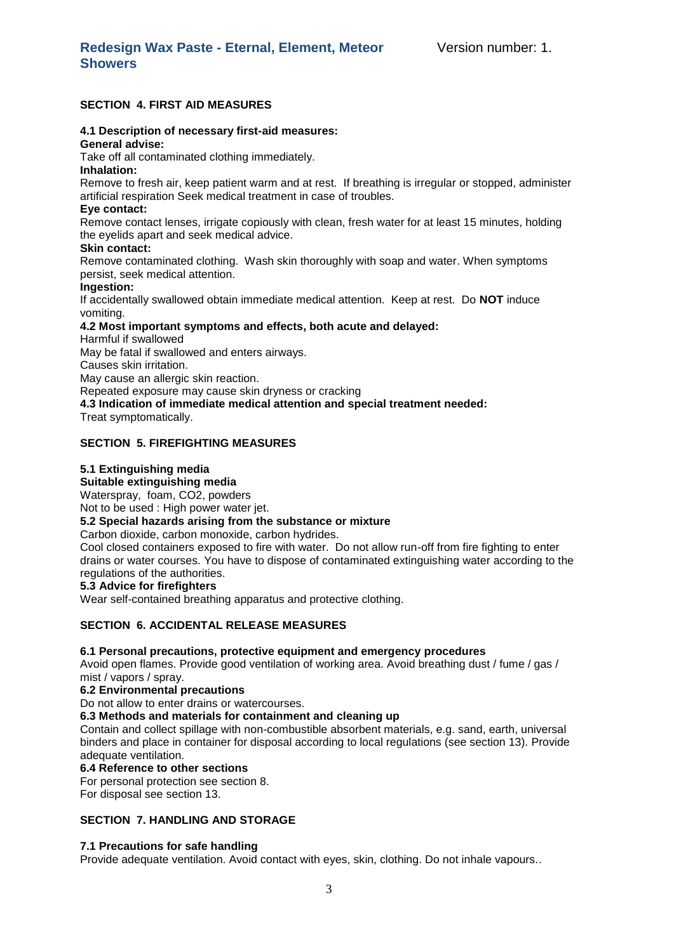### **SECTION 4. FIRST AID MEASURES**

### **4.1 Description of necessary first-aid measures:**

## **General advise:**

Take off all contaminated clothing immediately.

### **Inhalation:**

Remove to fresh air, keep patient warm and at rest. If breathing is irregular or stopped, administer artificial respiration Seek medical treatment in case of troubles.

### **Eye contact:**

Remove contact lenses, irrigate copiously with clean, fresh water for at least 15 minutes, holding the eyelids apart and seek medical advice.

### **Skin contact:**

Remove contaminated clothing. Wash skin thoroughly with soap and water. When symptoms persist, seek medical attention.

### **Ingestion:**

If accidentally swallowed obtain immediate medical attention. Keep at rest. Do **NOT** induce vomiting.

### **4.2 Most important symptoms and effects, both acute and delayed:**

Harmful if swallowed

May be fatal if swallowed and enters airways.

Causes skin irritation.

May cause an allergic skin reaction.

Repeated exposure may cause skin dryness or cracking

**4.3 Indication of immediate medical attention and special treatment needed:**

Treat symptomatically.

### **SECTION 5. FIREFIGHTING MEASURES**

### **5.1 Extinguishing media**

### **Suitable extinguishing media**

Waterspray, foam, CO2, powders

Not to be used : High power water jet.

### **5.2 Special hazards arising from the substance or mixture**

Carbon dioxide, carbon monoxide, carbon hydrides.

Cool closed containers exposed to fire with water. Do not allow run-off from fire fighting to enter drains or water courses. You have to dispose of contaminated extinguishing water according to the regulations of the authorities.

### **5.3 Advice for firefighters**

Wear self-contained breathing apparatus and protective clothing.

### **SECTION 6. ACCIDENTAL RELEASE MEASURES**

### **6.1 Personal precautions, protective equipment and emergency procedures**

Avoid open flames. Provide good ventilation of working area. Avoid breathing dust / fume / gas / mist / vapors / spray.

## **6.2 Environmental precautions**

Do not allow to enter drains or watercourses.

### **6.3 Methods and materials for containment and cleaning up**

Contain and collect spillage with non-combustible absorbent materials, e.g. sand, earth, universal binders and place in container for disposal according to local regulations (see section 13). Provide adequate ventilation.

### **6.4 Reference to other sections**

For personal protection see section 8.

For disposal see section 13.

### **SECTION 7. HANDLING AND STORAGE**

### **7.1 Precautions for safe handling**

Provide adequate ventilation. Avoid contact with eyes, skin, clothing. Do not inhale vapours..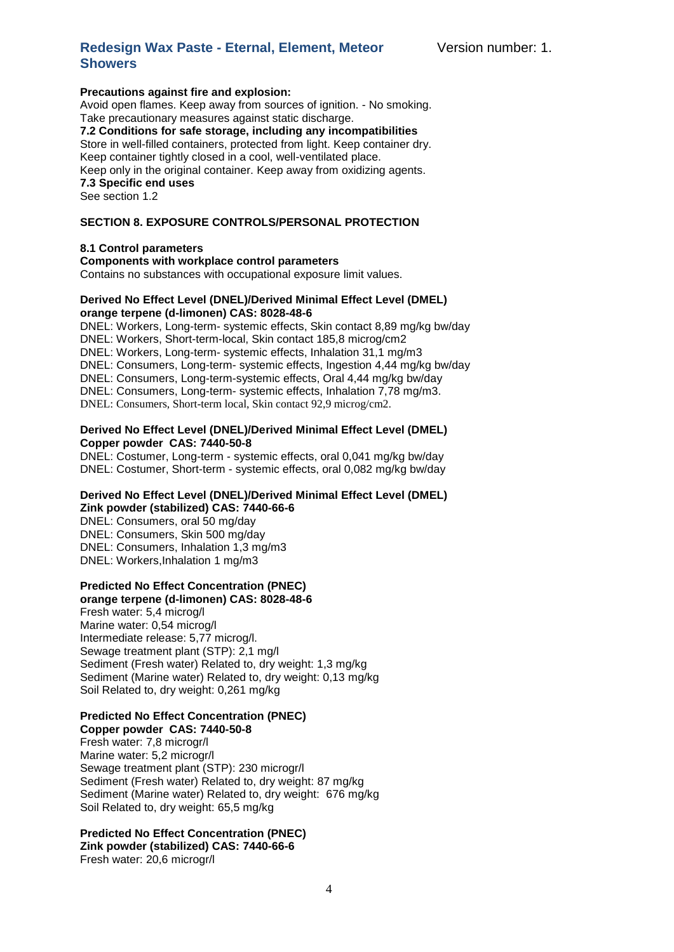### **Precautions against fire and explosion:**

Avoid open flames. Keep away from sources of ignition. - No smoking. Take precautionary measures against static discharge.

**7.2 Conditions for safe storage, including any incompatibilities** Store in well-filled containers, protected from light. Keep container dry. Keep container tightly closed in a cool, well-ventilated place. Keep only in the original container. Keep away from oxidizing agents. **7.3 Specific end uses**

See section 1.2

### **SECTION 8. EXPOSURE CONTROLS/PERSONAL PROTECTION**

### **8.1 Control parameters**

**Components with workplace control parameters** Contains no substances with occupational exposure limit values.

### **Derived No Effect Level (DNEL)/Derived Minimal Effect Level (DMEL) orange terpene (d-limonen) CAS: 8028-48-6**

DNEL: Workers, Long-term- systemic effects, Skin contact 8,89 mg/kg bw/day DNEL: Workers, Short-term-local, Skin contact 185,8 microg/cm2 DNEL: Workers, Long-term- systemic effects, Inhalation 31,1 mg/m3 DNEL: Consumers, Long-term- systemic effects, Ingestion 4,44 mg/kg bw/day DNEL: Consumers, Long-term-systemic effects, Oral 4,44 mg/kg bw/day DNEL: Consumers, Long-term- systemic effects, Inhalation 7,78 mg/m3. DNEL: Consumers, Short-term local, Skin contact 92,9 microg/cm2.

### **Derived No Effect Level (DNEL)/Derived Minimal Effect Level (DMEL) Copper powder CAS: 7440-50-8**

DNEL: Costumer, Long-term - systemic effects, oral 0,041 mg/kg bw/day DNEL: Costumer, Short-term - systemic effects, oral 0,082 mg/kg bw/day

### **Derived No Effect Level (DNEL)/Derived Minimal Effect Level (DMEL) Zink powder (stabilized) CAS: 7440-66-6**

DNEL: Consumers, oral 50 mg/day DNEL: Consumers, Skin 500 mg/day DNEL: Consumers, Inhalation 1,3 mg/m3 DNEL: Workers,Inhalation 1 mg/m3

## **Predicted No Effect Concentration (PNEC)**

**orange terpene (d-limonen) CAS: 8028-48-6**  Fresh water: 5,4 microg/l Marine water: 0,54 microg/l Intermediate release: 5,77 microg/l. Sewage treatment plant (STP): 2.1 mg/l Sediment (Fresh water) Related to, dry weight: 1,3 mg/kg Sediment (Marine water) Related to, dry weight: 0,13 mg/kg Soil Related to, dry weight: 0,261 mg/kg

### **Predicted No Effect Concentration (PNEC)**

**Copper powder CAS: 7440-50-8** Fresh water: 7,8 microgr/l Marine water: 5,2 microgr/l Sewage treatment plant (STP): 230 microgr/l Sediment (Fresh water) Related to, dry weight: 87 mg/kg Sediment (Marine water) Related to, dry weight: 676 mg/kg Soil Related to, dry weight: 65,5 mg/kg

## **Predicted No Effect Concentration (PNEC) Zink powder (stabilized) CAS: 7440-66-6**

Fresh water: 20,6 microgr/l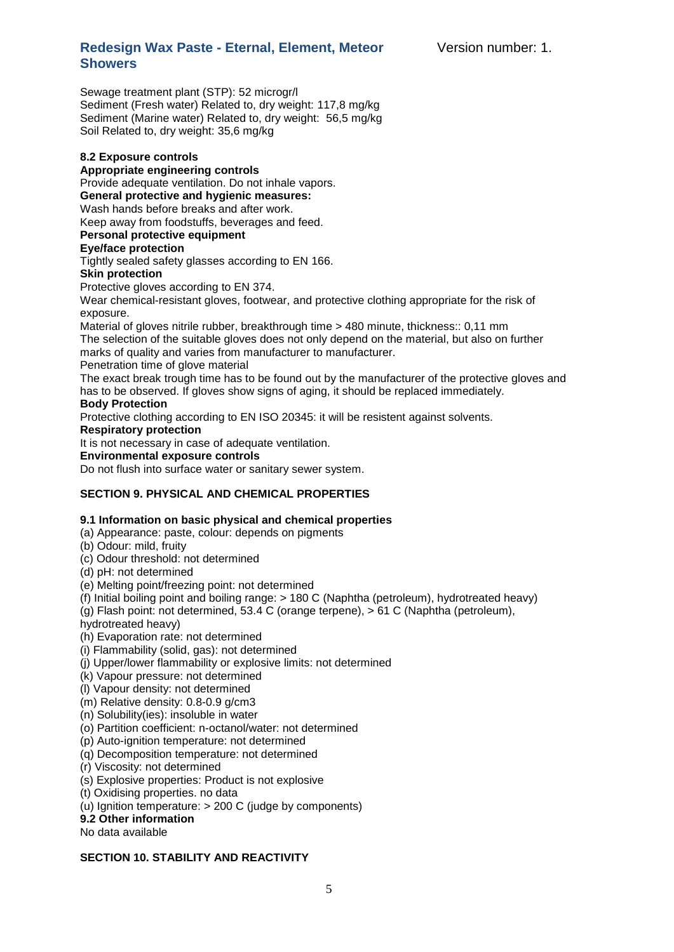Sewage treatment plant (STP): 52 microgr/l Sediment (Fresh water) Related to, dry weight: 117,8 mg/kg Sediment (Marine water) Related to, dry weight: 56,5 mg/kg Soil Related to, dry weight: 35,6 mg/kg

### **8.2 Exposure controls**

### **Appropriate engineering controls**

Provide adequate ventilation. Do not inhale vapors.

**General protective and hygienic measures:** 

Wash hands before breaks and after work.

Keep away from foodstuffs, beverages and feed.

## **Personal protective equipment**

### **Eye/face protection**

Tightly sealed safety glasses according to EN 166.

### **Skin protection**

Protective gloves according to EN 374.

Wear chemical-resistant gloves, footwear, and protective clothing appropriate for the risk of exposure.

Material of gloves nitrile rubber, breakthrough time > 480 minute, thickness:: 0,11 mm The selection of the suitable gloves does not only depend on the material, but also on further marks of quality and varies from manufacturer to manufacturer.

Penetration time of glove material

The exact break trough time has to be found out by the manufacturer of the protective gloves and has to be observed. If gloves show signs of aging, it should be replaced immediately.

### **Body Protection**

Protective clothing according to EN ISO 20345: it will be resistent against solvents.

### **Respiratory protection**

It is not necessary in case of adequate ventilation.

## **Environmental exposure controls**

Do not flush into surface water or sanitary sewer system.

### **SECTION 9. PHYSICAL AND CHEMICAL PROPERTIES**

### **9.1 Information on basic physical and chemical properties**

- (a) Appearance: paste, colour: depends on pigments
- (b) Odour: mild, fruity
- (c) Odour threshold: not determined
- (d) pH: not determined
- (e) Melting point/freezing point: not determined

(f) Initial boiling point and boiling range: > 180 C (Naphtha (petroleum), hydrotreated heavy)

(g) Flash point: not determined, 53.4 C (orange terpene), > 61 C (Naphtha (petroleum),

hydrotreated heavy)

(h) Evaporation rate: not determined

(i) Flammability (solid, gas): not determined

- (j) Upper/lower flammability or explosive limits: not determined
- (k) Vapour pressure: not determined
- (l) Vapour density: not determined

(m) Relative density: 0.8-0.9 g/cm3

- (n) Solubility(ies): insoluble in water
- (o) Partition coefficient: n-octanol/water: not determined
- (p) Auto-ignition temperature: not determined
- (q) Decomposition temperature: not determined
- (r) Viscosity: not determined
- (s) Explosive properties: Product is not explosive

## (t) Oxidising properties. no data

- (u) Ignition temperature: > 200 C (judge by components)
- **9.2 Other information**

No data available

### **SECTION 10. STABILITY AND REACTIVITY**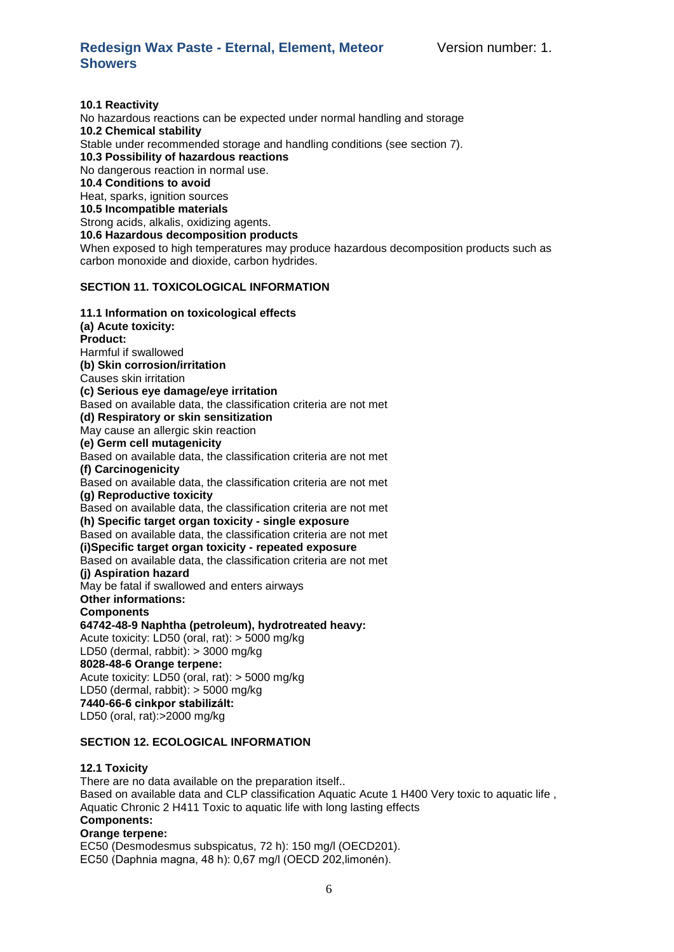**10.1 Reactivity** No hazardous reactions can be expected under normal handling and storage **10.2 Chemical stability** Stable under recommended storage and handling conditions (see section 7). **10.3 Possibility of hazardous reactions** No dangerous reaction in normal use. **10.4 Conditions to avoid** Heat, sparks, ignition sources **10.5 Incompatible materials** Strong acids, alkalis, oxidizing agents. **10.6 Hazardous decomposition products** When exposed to high temperatures may produce hazardous decomposition products such as carbon monoxide and dioxide, carbon hydrides.

### **SECTION 11. TOXICOLOGICAL INFORMATION**

**11.1 Information on toxicological effects (a) Acute toxicity: Product:**  Harmful if swallowed **(b) Skin corrosion/irritation**  Causes skin irritation **(c) Serious eye damage/eye irritation**  Based on available data, the classification criteria are not met **(d) Respiratory or skin sensitization**  May cause an allergic skin reaction **(e) Germ cell mutagenicity** Based on available data, the classification criteria are not met **(f) Carcinogenicity**  Based on available data, the classification criteria are not met **(g) Reproductive toxicity**  Based on available data, the classification criteria are not met **(h) Specific target organ toxicity - single exposure**  Based on available data, the classification criteria are not met **(i)Specific target organ toxicity - repeated exposure**  Based on available data, the classification criteria are not met **(j) Aspiration hazard**  May be fatal if swallowed and enters airways **Other informations: Components 64742-48-9 Naphtha (petroleum), hydrotreated heavy:** Acute toxicity: LD50 (oral, rat): > 5000 mg/kg LD50 (dermal, rabbit): > 3000 mg/kg **8028-48-6 Orange terpene:**  Acute toxicity: LD50 (oral, rat): > 5000 mg/kg LD50 (dermal, rabbit): > 5000 mg/kg **7440-66-6 cinkpor stabilizált:** LD50 (oral, rat):>2000 mg/kg

### **SECTION 12. ECOLOGICAL INFORMATION**

### **12.1 Toxicity**

There are no data available on the preparation itself.. Based on available data and CLP classification Aquatic Acute 1 H400 Very toxic to aquatic life , Aquatic Chronic 2 H411 Toxic to aquatic life with long lasting effects **Components: Orange terpene:** 

EC50 (Desmodesmus subspicatus, 72 h): 150 mg/l (OECD201). EC50 (Daphnia magna, 48 h): 0,67 mg/l (OECD 202,limonén).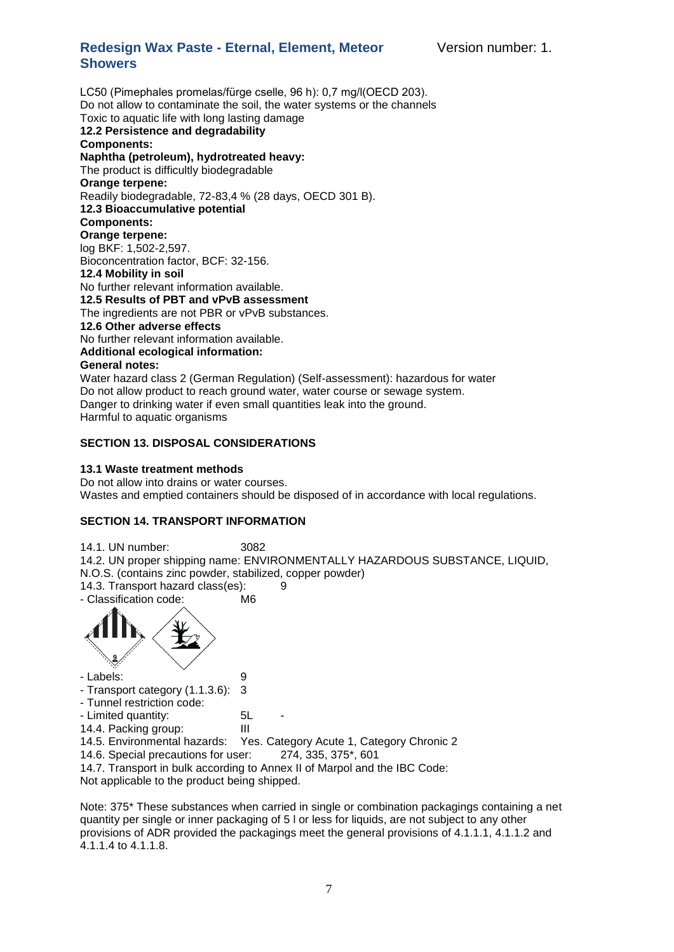Version number: 1.

## **Redesign Wax Paste - Eternal, Element, Meteor Showers**

LC50 (Pimephales promelas/fürge cselle, 96 h): 0,7 mg/l(OECD 203). Do not allow to contaminate the soil, the water systems or the channels Toxic to aquatic life with long lasting damage **12.2 Persistence and degradability Components: Naphtha (petroleum), hydrotreated heavy:**  The product is difficultly biodegradable **Orange terpene:**  Readily biodegradable, 72-83,4 % (28 days, OECD 301 B). **12.3 Bioaccumulative potential Components: Orange terpene:**  log BKF: 1,502-2,597. Bioconcentration factor, BCF: 32-156. **12.4 Mobility in soil**  No further relevant information available. **12.5 Results of PBT and vPvB assessment**  The ingredients are not PBR or vPvB substances. **12.6 Other adverse effects**  No further relevant information available. **Additional ecological information: General notes:**  Water hazard class 2 (German Regulation) (Self-assessment): hazardous for water Do not allow product to reach ground water, water course or sewage system. Danger to drinking water if even small quantities leak into the ground.

Harmful to aquatic organisms

### **SECTION 13. DISPOSAL CONSIDERATIONS**

### **13.1 Waste treatment methods**

Do not allow into drains or water courses. Wastes and emptied containers should be disposed of in accordance with local regulations.

### **SECTION 14. TRANSPORT INFORMATION**

14.1. UN number: 3082 14.2. UN proper shipping name: ENVIRONMENTALLY HAZARDOUS SUBSTANCE, LIQUID, N.O.S. (contains zinc powder, stabilized, copper powder) 14.3. Transport hazard class(es): 9 - Classification code: M6



- Labels: 9
- Transport category (1.1.3.6): 3

- Tunnel restriction code:

- Limited quantity: 5L

14.4. Packing group: III

14.5. Environmental hazards: Yes. Category Acute 1, Category Chronic 2

14.6. Special precautions for user: 274, 335, 375\*, 601

14.7. Transport in bulk according to Annex II of Marpol and the IBC Code:

Not applicable to the product being shipped.

Note: 375<sup>\*</sup> These substances when carried in single or combination packagings containing a net quantity per single or inner packaging of 5 l or less for liquids, are not subject to any other provisions of ADR provided the packagings meet the general provisions of 4.1.1.1, 4.1.1.2 and 4.1.1.4 to 4.1.1.8.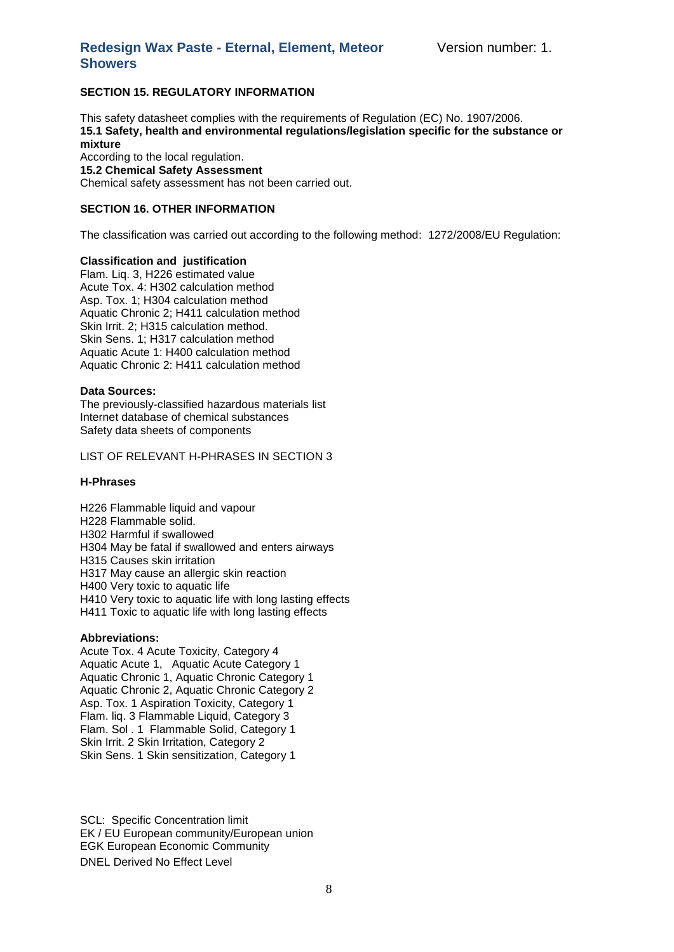### **SECTION 15. REGULATORY INFORMATION**

This safety datasheet complies with the requirements of Regulation (EC) No. 1907/2006. **15.1 Safety, health and environmental regulations/legislation specific for the substance or mixture**

According to the local regulation. **15.2 Chemical Safety Assessment** Chemical safety assessment has not been carried out.

### **SECTION 16. OTHER INFORMATION**

The classification was carried out according to the following method: 1272/2008/EU Regulation:

### **Classification and justification**

Flam. Liq. 3, H226 estimated value Acute Tox. 4: H302 calculation method Asp. Tox. 1; H304 calculation method Aquatic Chronic 2; H411 calculation method Skin Irrit. 2; H315 calculation method. Skin Sens. 1; H317 calculation method Aquatic Acute 1: H400 calculation method Aquatic Chronic 2: H411 calculation method

### **Data Sources:**

The previously-classified hazardous materials list Internet database of chemical substances Safety data sheets of components

LIST OF RELEVANT H-PHRASES IN SECTION 3

### **H-Phrases**

H226 Flammable liquid and vapour H228 Flammable solid. H302 Harmful if swallowed H304 May be fatal if swallowed and enters airways H315 Causes skin irritation H317 May cause an allergic skin reaction H400 Very toxic to aquatic life H410 Very toxic to aquatic life with long lasting effects H411 Toxic to aquatic life with long lasting effects

### **Abbreviations:**

Acute Tox. 4 Acute Toxicity, Category 4 Aquatic Acute 1, Aquatic Acute Category 1 Aquatic Chronic 1, Aquatic Chronic Category 1 Aquatic Chronic 2, Aquatic Chronic Category 2 Asp. Tox. 1 Aspiration Toxicity, Category 1 Flam. liq. 3 Flammable Liquid, Category 3 Flam. Sol . 1 Flammable Solid, Category 1 Skin Irrit. 2 Skin Irritation, Category 2 Skin Sens. 1 Skin sensitization, Category 1

SCL: Specific Concentration limit EK / EU European community/European union EGK European Economic Community DNEL Derived No Effect Level